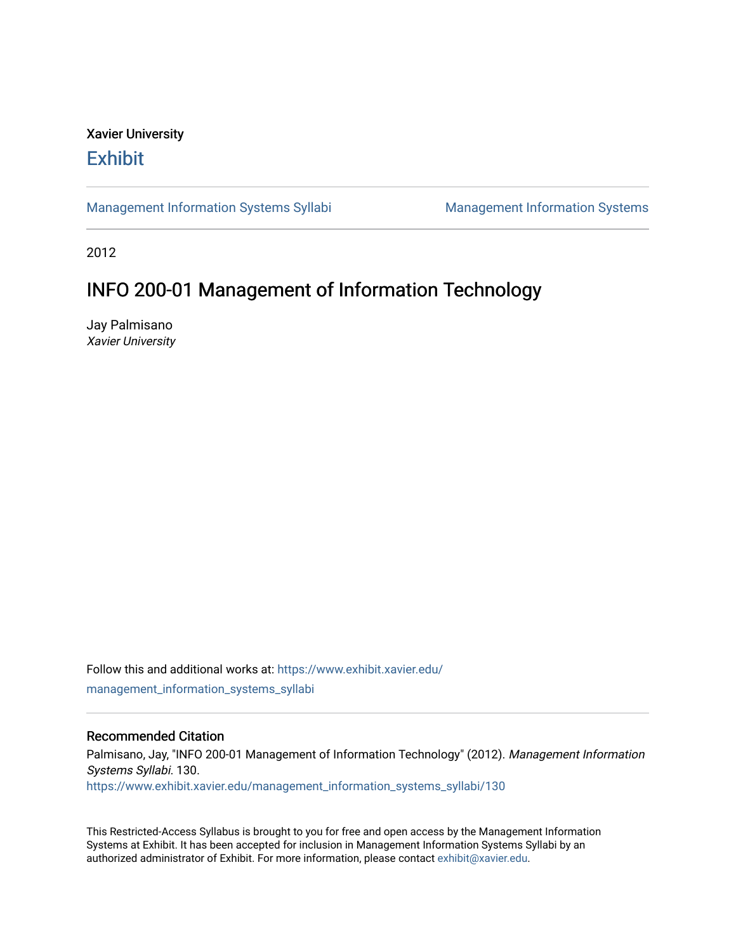# Xavier University **Exhibit**

[Management Information Systems Syllabi](https://www.exhibit.xavier.edu/management_information_systems_syllabi) Management Information Systems

2012

# INFO 200-01 Management of Information Technology

Jay Palmisano Xavier University

Follow this and additional works at: [https://www.exhibit.xavier.edu/](https://www.exhibit.xavier.edu/management_information_systems_syllabi?utm_source=www.exhibit.xavier.edu%2Fmanagement_information_systems_syllabi%2F130&utm_medium=PDF&utm_campaign=PDFCoverPages) [management\\_information\\_systems\\_syllabi](https://www.exhibit.xavier.edu/management_information_systems_syllabi?utm_source=www.exhibit.xavier.edu%2Fmanagement_information_systems_syllabi%2F130&utm_medium=PDF&utm_campaign=PDFCoverPages) 

#### Recommended Citation

Palmisano, Jay, "INFO 200-01 Management of Information Technology" (2012). Management Information Systems Syllabi. 130. [https://www.exhibit.xavier.edu/management\\_information\\_systems\\_syllabi/130](https://www.exhibit.xavier.edu/management_information_systems_syllabi/130?utm_source=www.exhibit.xavier.edu%2Fmanagement_information_systems_syllabi%2F130&utm_medium=PDF&utm_campaign=PDFCoverPages) 

This Restricted-Access Syllabus is brought to you for free and open access by the Management Information Systems at Exhibit. It has been accepted for inclusion in Management Information Systems Syllabi by an authorized administrator of Exhibit. For more information, please contact [exhibit@xavier.edu](mailto:exhibit@xavier.edu).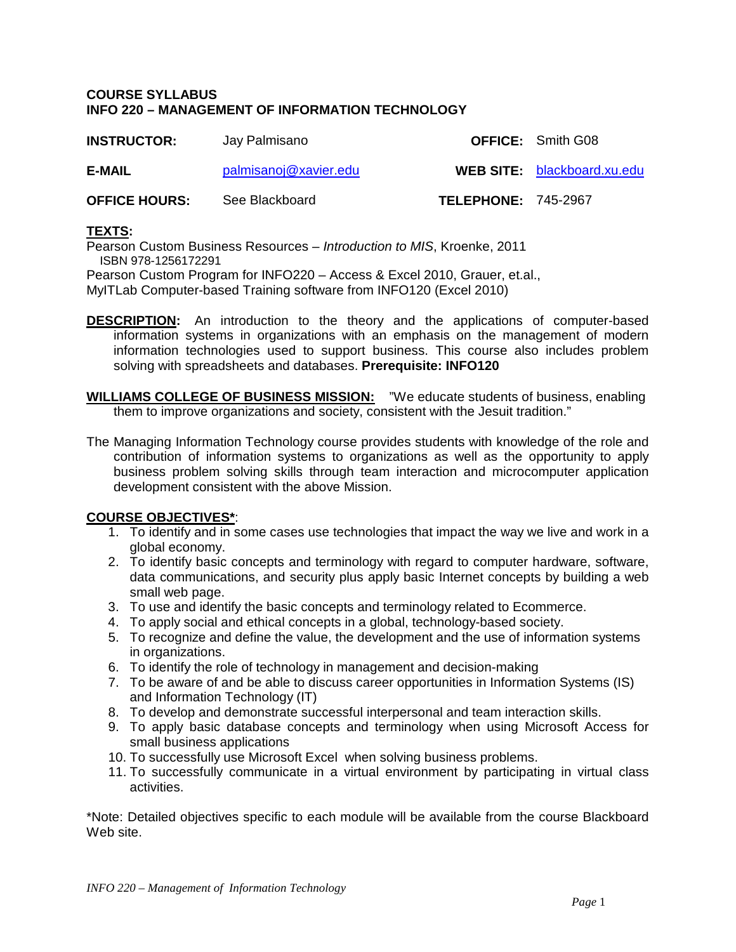### **COURSE SYLLABUS INFO 220 – MANAGEMENT OF INFORMATION TECHNOLOGY**

| <b>INSTRUCTOR:</b>   | Jay Palmisano         |                            | <b>OFFICE:</b> Smith G08           |
|----------------------|-----------------------|----------------------------|------------------------------------|
| E-MAIL               | palmisanoj@xavier.edu |                            | <b>WEB SITE:</b> blackboard.xu.edu |
| <b>OFFICE HOURS:</b> | See Blackboard        | <b>TELEPHONE: 745-2967</b> |                                    |

# **TEXTS:**

Pearson Custom Business Resources – *Introduction to MIS*, Kroenke, 2011 ISBN 978-1256172291

Pearson Custom Program for INFO220 – Access & Excel 2010, Grauer, et.al., MyITLab Computer-based Training software from INFO120 (Excel 2010)

- **DESCRIPTION:** An introduction to the theory and the applications of computer-based information systems in organizations with an emphasis on the management of modern information technologies used to support business. This course also includes problem solving with spreadsheets and databases. **Prerequisite: INFO120**
- **WILLIAMS COLLEGE OF BUSINESS MISSION:** "We educate students of business, enabling them to improve organizations and society, consistent with the Jesuit tradition."
- The Managing Information Technology course provides students with knowledge of the role and contribution of information systems to organizations as well as the opportunity to apply business problem solving skills through team interaction and microcomputer application development consistent with the above Mission.

# **COURSE OBJECTIVES\***:

- 1. To identify and in some cases use technologies that impact the way we live and work in a global economy.
- 2. To identify basic concepts and terminology with regard to computer hardware, software, data communications, and security plus apply basic Internet concepts by building a web small web page.
- 3. To use and identify the basic concepts and terminology related to Ecommerce.
- 4. To apply social and ethical concepts in a global, technology-based society.
- 5. To recognize and define the value, the development and the use of information systems in organizations.
- 6. To identify the role of technology in management and decision-making
- 7. To be aware of and be able to discuss career opportunities in Information Systems (IS) and Information Technology (IT)
- 8. To develop and demonstrate successful interpersonal and team interaction skills.
- 9. To apply basic database concepts and terminology when using Microsoft Access for small business applications
- 10. To successfully use Microsoft Excel when solving business problems.
- 11. To successfully communicate in a virtual environment by participating in virtual class activities.

\*Note: Detailed objectives specific to each module will be available from the course Blackboard Web site.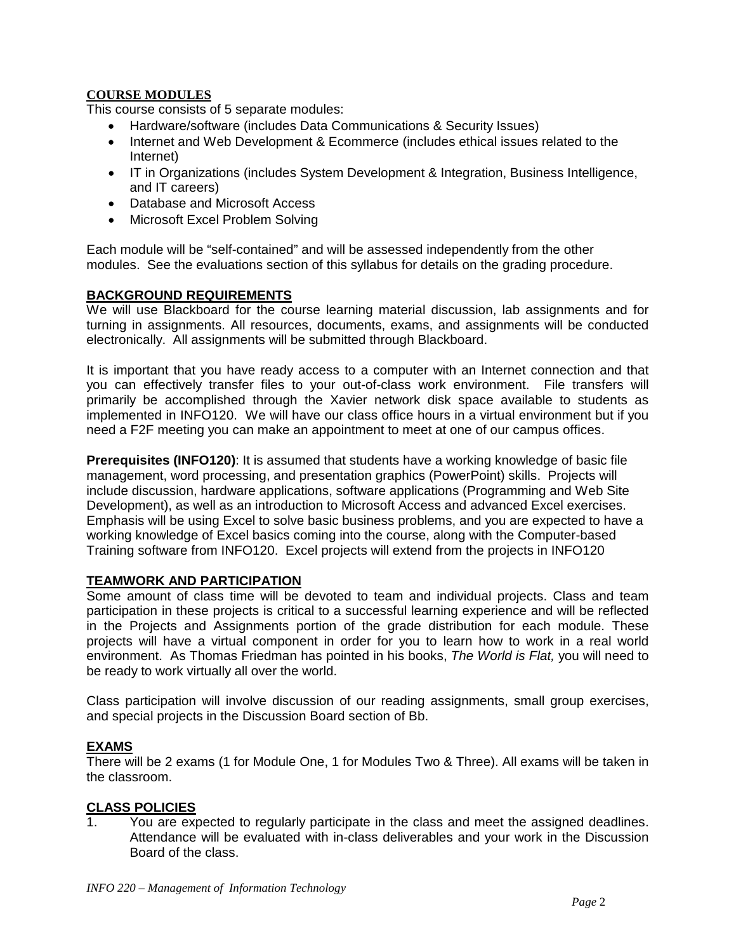# **COURSE MODULES**

This course consists of 5 separate modules:

- Hardware/software (includes Data Communications & Security Issues)
- Internet and Web Development & Ecommerce (includes ethical issues related to the Internet)
- IT in Organizations (includes System Development & Integration, Business Intelligence, and IT careers)
- Database and Microsoft Access
- Microsoft Excel Problem Solving

Each module will be "self-contained" and will be assessed independently from the other modules. See the evaluations section of this syllabus for details on the grading procedure.

# **BACKGROUND REQUIREMENTS**

We will use Blackboard for the course learning material discussion, lab assignments and for turning in assignments. All resources, documents, exams, and assignments will be conducted electronically. All assignments will be submitted through Blackboard.

It is important that you have ready access to a computer with an Internet connection and that you can effectively transfer files to your out-of-class work environment. File transfers will primarily be accomplished through the Xavier network disk space available to students as implemented in INFO120. We will have our class office hours in a virtual environment but if you need a F2F meeting you can make an appointment to meet at one of our campus offices.

**Prerequisites (INFO120)**: It is assumed that students have a working knowledge of basic file management, word processing, and presentation graphics (PowerPoint) skills. Projects will include discussion, hardware applications, software applications (Programming and Web Site Development), as well as an introduction to Microsoft Access and advanced Excel exercises. Emphasis will be using Excel to solve basic business problems, and you are expected to have a working knowledge of Excel basics coming into the course, along with the Computer-based Training software from INFO120. Excel projects will extend from the projects in INFO120

# **TEAMWORK AND PARTICIPATION**

Some amount of class time will be devoted to team and individual projects. Class and team participation in these projects is critical to a successful learning experience and will be reflected in the Projects and Assignments portion of the grade distribution for each module. These projects will have a virtual component in order for you to learn how to work in a real world environment. As Thomas Friedman has pointed in his books, *The World is Flat,* you will need to be ready to work virtually all over the world.

Class participation will involve discussion of our reading assignments, small group exercises, and special projects in the Discussion Board section of Bb.

# **EXAMS**

There will be 2 exams (1 for Module One, 1 for Modules Two & Three). All exams will be taken in the classroom.

#### **CLASS POLICIES**

1. You are expected to regularly participate in the class and meet the assigned deadlines. Attendance will be evaluated with in-class deliverables and your work in the Discussion Board of the class.